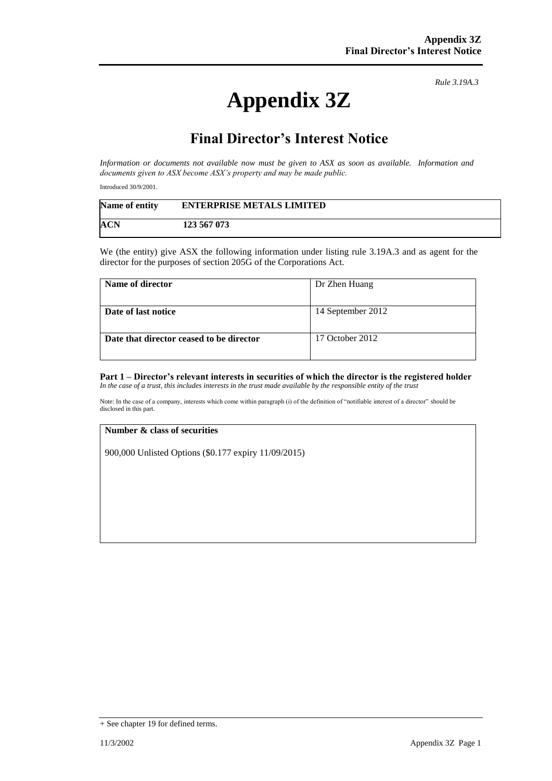# **Appendix 3Z**

*Rule 3.19A.3*

## **Final Director's Interest Notice**

*Information or documents not available now must be given to ASX as soon as available. Information and documents given to ASX become ASX's property and may be made public.*

Introduced 30/9/2001.

| Name of entity | <b>ENTERPRISE METALS LIMITED</b> |
|----------------|----------------------------------|
| ACN            | 123 567 073                      |

We (the entity) give ASX the following information under listing rule 3.19A.3 and as agent for the director for the purposes of section 205G of the Corporations Act.

| Name of director                         | Dr Zhen Huang     |
|------------------------------------------|-------------------|
| Date of last notice                      | 14 September 2012 |
| Date that director ceased to be director | 17 October 2012   |

#### **Part 1 – Director's relevant interests in securities of which the director is the registered holder** *In the case of a trust, this includes interests in the trust made available by the responsible entity of the trust*

Note: In the case of a company, interests which come within paragraph (i) of the definition of "notifiable interest of a director" should be disclosed in this part.

#### **Number & class of securities**

900,000 Unlisted Options (\$0.177 expiry 11/09/2015)

<sup>+</sup> See chapter 19 for defined terms.